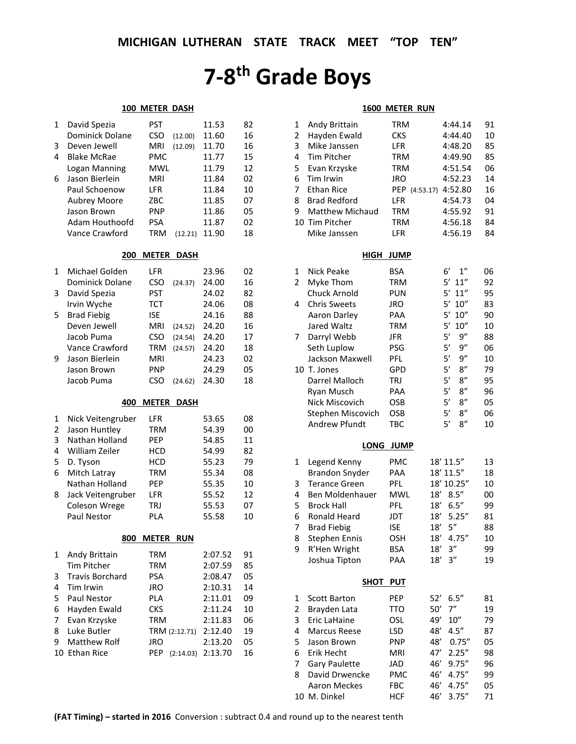# **7-8th Grade Boys**

#### **100 METER DASH**

| 1 | David Spezia    | PST  |         | 11.53 | 82 |
|---|-----------------|------|---------|-------|----|
|   | Dominick Dolane | CSO  | (12.00) | 11.60 | 16 |
| 3 | Deven Jewell    | MRI  | (12.09) | 11.70 | 16 |
| 4 | Blake McRae     | PMC  |         | 11.77 | 15 |
|   | Logan Manning   | MWL  |         | 11.79 | 12 |
| 6 | Jason Bierlein  | MRI  |         | 11.84 | 02 |
|   | Paul Schoenow   | I FR |         | 11.84 | 10 |
|   | Aubrey Moore    | ZBC  |         | 11.85 | 07 |
|   | Jason Brown     | PNP  |         | 11.86 | 05 |
|   | Adam Houthoofd  | PSA  |         | 11.87 | 02 |
|   | Vance Crawford  | TRM  | (12.21) | 11.90 | 18 |
|   |                 |      |         |       |    |

#### **200 METER DASH**

| 1 | Michael Golden     | LFR        |         | 23.96 | 02 |
|---|--------------------|------------|---------|-------|----|
|   | Dominick Dolane    | CSO        | (24.37) | 24.00 | 16 |
| 3 | David Spezia       | <b>PST</b> |         | 24.02 | 82 |
|   | Irvin Wyche        | <b>TCT</b> |         | 24.06 | 08 |
| 5 | <b>Brad Fiebig</b> | <b>ISE</b> |         | 24.16 | 88 |
|   | Deven Jewell       | MRI        | (24.52) | 24.20 | 16 |
|   | Jacob Puma         | CSO        | (24.54) | 24.20 | 17 |
|   | Vance Crawford     | <b>TRM</b> | (24.57) | 24.20 | 18 |
| 9 | Jason Bierlein     | <b>MRI</b> |         | 24.23 | 02 |
|   | Jason Brown        | <b>PNP</b> |         | 24.29 | 05 |
|   | Jacob Puma         |            | (24.62) | 24.30 | 18 |

## **400 METER DASH**

| Nick Veitengruber    | I FR       | 53.65 | 08 |
|----------------------|------------|-------|----|
| Jason Huntley        | TRM        | 54.39 | 00 |
| Nathan Holland       | <b>PEP</b> | 54.85 | 11 |
| William Zeiler       | HCD        | 54.99 | 82 |
| D. Tyson             | <b>HCD</b> | 55.23 | 79 |
| Mitch Latray         | <b>TRM</b> | 55.34 | 08 |
| Nathan Holland       | <b>PEP</b> | 55.35 | 10 |
| Jack Veitengruber    | <b>LFR</b> | 55.52 | 12 |
| <b>Coleson Wrege</b> | TRJ        | 55.53 | 07 |
| <b>Paul Nestor</b>   | PLA        | 55.58 | 10 |
|                      |            |       |    |

#### **800 METER RUN**

| 1  | Andy Brittain          | <b>TRM</b>       | 2:07.52 | 91 |
|----|------------------------|------------------|---------|----|
|    | <b>Tim Pitcher</b>     | <b>TRM</b>       | 2:07.59 | 85 |
| 3  | <b>Travis Borchard</b> | <b>PSA</b>       | 2:08.47 | 05 |
| 4  | Tim Irwin              | <b>JRO</b>       | 2:10.31 | 14 |
| 5. | <b>Paul Nestor</b>     | <b>PLA</b>       | 2:11.01 | 09 |
| 6  | Hayden Ewald           | <b>CKS</b>       | 2:11.24 | 10 |
| 7  | Evan Krzyske           | <b>TRM</b>       | 2:11.83 | 06 |
| 8  | Luke Butler            | TRM (2:12.71)    | 2:12.40 | 19 |
| 9  | Matthew Rolf           | JRO              | 2:13.20 | 05 |
|    | 10 Ethan Rice          | PEP<br>(2:14.03) | 2:13.70 | 16 |

## **1600 METER RUN**

|    |                       | <u></u>     |                          |    |
|----|-----------------------|-------------|--------------------------|----|
| 1  | Andy Brittain         | <b>TRM</b>  | 4:44.14                  | 91 |
| 2  | Hayden Ewald          | <b>CKS</b>  | 4:44.40                  | 10 |
| 3  | Mike Janssen          | LFR         | 4:48.20                  | 85 |
| 4  | Tim Pitcher           | <b>TRM</b>  | 4:49.90                  | 85 |
| 5  | Evan Krzyske          | <b>TRM</b>  | 4:51.54                  | 06 |
| 6  | Tim Irwin             | <b>JRO</b>  | 4:52.23                  | 14 |
| 7  | <b>Ethan Rice</b>     |             | PEP (4:53.17) 4:52.80    | 16 |
| 8  | <b>Brad Redford</b>   | LFR         | 4:54.73                  | 04 |
| 9  | Matthew Michaud       | <b>TRM</b>  | 4:55.92                  | 91 |
| 10 | <b>Tim Pitcher</b>    | <b>TRM</b>  | 4:56.18                  | 84 |
|    | Mike Janssen          | LFR         | 4:56.19                  | 84 |
|    | HIGH                  | <b>JUMP</b> |                          |    |
| 1  | Nick Peake            | <b>BSA</b>  | 6'<br>$1^{\prime\prime}$ | 06 |
| 2  | Myke Thom             | TRM         | 5'<br>11''               | 92 |
|    | Chuck Arnold          | <b>PUN</b>  | 5'<br>11"                | 95 |
| 4  | <b>Chris Sweets</b>   | JRO         | 5'<br>10''               | 83 |
|    | Aaron Darley          | PAA         | 5'<br>10''               | 90 |
|    | Jared Waltz           | <b>TRM</b>  | 5'<br>10''               | 10 |
| 7  | Darryl Webb           | <b>JFR</b>  | 5'<br>9''                | 88 |
|    | Seth Luplow           | PSG         | 5'<br>9''                | 06 |
|    | Jackson Maxwell       | PFL         | 5'<br>9"                 | 10 |
| 10 | T. Jones              | GPD         | 5'<br>8''                | 79 |
|    | Darrel Malloch        | TRJ         | 5'<br>8''                | 95 |
|    | Ryan Musch            | PAA         | 5'<br>8''                | 96 |
|    | <b>Nick Miscovich</b> | OSB         | 5'<br>8''                | 05 |
|    | Stephen Miscovich     | OSB         | 5'<br>8''                | 06 |
|    | <b>Andrew Pfundt</b>  | TBC         | 5'<br>8''                | 10 |
|    | <b>LONG</b>           | <b>JUMP</b> |                          |    |
| 1  | Legend Kenny          | <b>PMC</b>  | 18' 11.5"                | 13 |
|    | <b>Brandon Snyder</b> | PAA         | 18' 11.5"                | 18 |
| 3  | <b>Terance Green</b>  | PFL         | 18' 10.25"               | 10 |
| 4  | Ben Moldenhauer       | <b>MWL</b>  | 8.5''<br>18′             | 00 |
| 5  | <b>Brock Hall</b>     | PFL         | 6.5''<br>18'             | 99 |
| 6  | <b>Ronald Heard</b>   | <b>JDT</b>  | 18'<br>5.25''            | 81 |
| 7  | <b>Brad Fiebig</b>    | <b>ISE</b>  | 5''<br>18'               | 88 |
| 8  | <b>Stephen Ennis</b>  | <b>OSH</b>  | 4.75''<br>18'            | 10 |
| 9  | R'Hen Wright          | <b>BSA</b>  | 18'<br>3''               | 99 |
|    | Joshua Tipton         | PAA         | 18'<br>3"                | 19 |
|    | <b>SHOT</b>           | <b>PUT</b>  |                          |    |
| 1  | <b>Scott Barton</b>   | PEP         | 52′<br>6.5''             | 81 |
| 2  | Brayden Lata          | <b>TTO</b>  | 7"<br>50′                | 19 |
| 3  | Eric LaHaine          | OSL         | 49′<br>10''              | 79 |
| 4  | <b>Marcus Reese</b>   | <b>LSD</b>  | 48'<br>4.5''             | 87 |
| 5  | Jason Brown           | <b>PNP</b>  | 48'<br>0.75''            | 05 |
| 6  | Erik Hecht            | <b>MRI</b>  | 47'<br>2.25''            | 98 |
|    |                       |             |                          |    |

7 Gary Paulette JAD 46' 9.75" 96 8 David Drwencke PMC 46' 4.75" 99 Aaron Meckes FBC 46' 4.75" 05 10 M. Dinkel HCF 46' 3.75" 71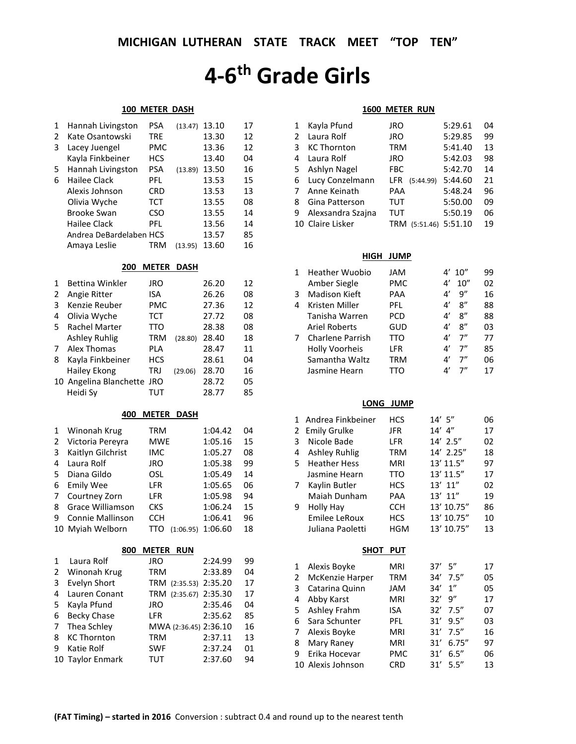# **4-6th Grade Girls**

## **100 METER DASH**

| 1              | Hannah Livingston       | <b>PSA</b>   | (13.47)     | 13.10 | 17 |
|----------------|-------------------------|--------------|-------------|-------|----|
| $\overline{2}$ | Kate Osantowski         | <b>TRE</b>   |             | 13.30 | 12 |
| 3              | Lacey Juengel           | <b>PMC</b>   |             | 13.36 | 12 |
|                | Kayla Finkbeiner        | <b>HCS</b>   |             | 13.40 | 04 |
| 5              | Hannah Livingston       | <b>PSA</b>   | (13.89)     | 13.50 | 16 |
| 6              | <b>Hailee Clack</b>     | <b>PFL</b>   |             | 13.53 | 15 |
|                | Alexis Johnson          | <b>CRD</b>   |             | 13.53 | 13 |
|                | Olivia Wyche            | <b>TCT</b>   |             | 13.55 | 08 |
|                | <b>Brooke Swan</b>      | <b>CSO</b>   |             | 13.55 | 14 |
|                | <b>Hailee Clack</b>     | PFL          |             | 13.56 | 14 |
|                | Andrea DeBardelaben HCS |              |             | 13.57 | 85 |
|                | Amaya Leslie            | <b>TRM</b>   | (13.95)     | 13.60 | 16 |
|                |                         |              |             |       |    |
|                |                         |              |             |       |    |
|                | 200                     | <b>METER</b> | <b>DASH</b> |       |    |
| 1              | <b>Bettina Winkler</b>  | <b>JRO</b>   |             | 26.20 | 12 |
| 2              | Angie Ritter            | <b>ISA</b>   |             | 26.26 | 08 |
| 3              | Kenzie Reuber           | <b>PMC</b>   |             | 27.36 | 12 |
| 4              | Olivia Wyche            | <b>TCT</b>   |             | 27.72 | 08 |
| 5              | Rachel Marter           | <b>TTO</b>   |             | 28.38 | 08 |
|                | <b>Ashley Ruhlig</b>    | <b>TRM</b>   | (28.80)     | 28.40 | 18 |
| 7              | Alex Thomas             | <b>PLA</b>   |             | 28.47 | 11 |
| 8              | Kayla Finkbeiner        | <b>HCS</b>   |             | 28.61 | 04 |
|                | Hailey Ekong            | <b>TRJ</b>   | (29.06)     | 28.70 | 16 |
|                | 10 Angelina Blanchette  | <b>JRO</b>   |             | 28.72 | 05 |
|                | Heidi Sy                | <b>TUT</b>   |             | 28.77 | 85 |

## **400 METER DASH**

| $\mathbf{1}$ | Winonah Krug            | <b>TRM</b> |           | 1:04.42 | 04 |
|--------------|-------------------------|------------|-----------|---------|----|
| 2            | Victoria Pereyra        | <b>MWE</b> |           | 1:05.16 | 15 |
| 3            | Kaitlyn Gilchrist       | IMC        |           | 1:05.27 | 08 |
| 4            | Laura Rolf              | JRO        |           | 1:05.38 | 99 |
| 5            | Diana Gildo             | OSL        |           | 1:05.49 | 14 |
| 6            | <b>Emily Wee</b>        | <b>LFR</b> |           | 1:05.65 | 06 |
| 7            | Courtney Zorn           | <b>LFR</b> |           | 1:05.98 | 94 |
| 8            | <b>Grace Williamson</b> | <b>CKS</b> |           | 1:06.24 | 15 |
| 9            | Connie Mallinson        | <b>CCH</b> |           | 1:06.41 | 96 |
|              | 10 Myiah Welborn        | TTO        | (1:06.95) | 1:06.60 | 18 |

| 800 METER RUN |  |
|---------------|--|
|               |  |

| $1 \ \nu$ | Laura Rolf         | <b>JRO</b>            | 2:24.99 | 99 |
|-----------|--------------------|-----------------------|---------|----|
|           | 2 Winonah Krug     | <b>TRM</b>            | 2:33.89 | 04 |
| 3         | Evelyn Short       | TRM (2:35.53) 2:35.20 |         | 17 |
|           | 4 Lauren Conant    | TRM (2:35.67) 2:35.30 |         | 17 |
|           | 5 Kayla Pfund      | <b>JRO</b>            | 2:35.46 | 04 |
| 6         | <b>Becky Chase</b> | LFR                   | 2:35.62 | 85 |
|           | 7 Thea Schley      | MWA (2:36.45) 2:36.10 |         | 16 |
|           | 8 KC Thornton      | <b>TRM</b>            | 2:37.11 | 13 |
| ۹.        | Katie Rolf         | <b>SWF</b>            | 2:37.24 | 01 |
|           | 10 Taylor Enmark   | <b>TUT</b>            | 2:37.60 | 94 |

## **1600 METER RUN**

|               | Kayla Pfund        | JRO               | 5:29.61 | 04 |
|---------------|--------------------|-------------------|---------|----|
| $\mathcal{P}$ | Laura Rolf         | JRO               | 5:29.85 | 99 |
| 3.            | <b>KC Thornton</b> | <b>TRM</b>        | 5:41.40 | 13 |
| 4             | Laura Rolf         | JRO               | 5:42.03 | 98 |
| 5.            | Ashlyn Nagel       | <b>FBC</b>        | 5:42.70 | 14 |
| 6             | Lucy Conzelmann    | LFR.<br>(5:44.99) | 5:44.60 | 21 |
|               | Anne Keinath       | PAA               | 5:48.24 | 96 |
| 8             | Gina Patterson     | TUT               | 5:50.00 | 09 |
| 9             | Alexsandra Szajna  | TUT               | 5:50.19 | 06 |
|               | 10 Claire Lisker   | (5:51.46)         | 5:51.10 | 19 |

## **HIGH JUMP**

|   | Heather Wuobio          | JAM        |               | 4' 10'' | 99 |
|---|-------------------------|------------|---------------|---------|----|
|   | Amber Siegle            | <b>PMC</b> | 4'            | 10''    | 02 |
| 3 | <b>Madison Kieft</b>    | PAA        | 4'            | q"      | 16 |
| 4 | Kristen Miller          | <b>PFL</b> | 4'            | 8''     | 88 |
|   | Tanisha Warren          | <b>PCD</b> | 4'            | 8''     | 88 |
|   | <b>Ariel Roberts</b>    | GUD        | 4'            | 8''     | 03 |
|   | <b>Charlene Parrish</b> | TTO        | 4'            | 7"      | 77 |
|   | <b>Holly Voorheis</b>   | <b>LFR</b> | 4'            | 7''     | 85 |
|   | Samantha Waltz          | TRM        | 41            | "ד      | 06 |
|   | Jasmine Hearn           |            | $\mathbf{4}'$ | ״ד      | 17 |

### **LONG JUMP**

| 1 | Andrea Finkbeiner    | HCS        | $14'$ 5"      | 06 |
|---|----------------------|------------|---------------|----|
| 2 | <b>Emily Grulke</b>  | <b>JFR</b> | $14'$ 4"      | 17 |
| 3 | Nicole Bade          | LFR        | 14' 2.5"      | 02 |
| 4 | <b>Ashley Ruhlig</b> | <b>TRM</b> | 14' 2.25"     | 18 |
| 5 | <b>Heather Hess</b>  | <b>MRI</b> | 13' 11.5"     | 97 |
|   | Jasmine Hearn        | <b>TTO</b> | 13' 11.5"     | 17 |
| 7 | Kaylin Butler        | <b>HCS</b> | 13' 11"       | 02 |
|   | Maiah Dunham         | PAA        | 13' 11"       | 19 |
| 9 | Holly Hay            | <b>CCH</b> | 13' 10.75"    | 86 |
|   | <b>Emilee LeRoux</b> | <b>HCS</b> | 13' 10.75"    | 10 |
|   | Juliana Paoletti     | <b>HGM</b> | 13' 10.75"    | 13 |
|   | SHOT                 | <b>PUT</b> |               |    |
| 1 | Alexis Boyke         | <b>MRI</b> | -5"<br>37'    | 17 |
| 2 | McKenzie Harper      | <b>TRM</b> | 34′<br>7.5''  | 05 |
| 3 | Catarina Quinn       | <b>JAM</b> | 1"<br>34′     | 05 |
| 4 | Abby Karst           | <b>MRI</b> | 9"<br>32'     | 17 |
| 5 | Ashley Frahm         | ISA        | 32'<br>7.5''  | 07 |
| 6 | Sara Schunter        | PFL.       | 9.5''<br>31'  | 03 |
| 7 | Alexis Boyke         | <b>MRI</b> | 31'<br>7.5''  | 16 |
| 8 | Mary Raney           | <b>MRI</b> | 31'<br>6.75'' | 97 |
| 9 | Erika Hocevar        | <b>PMC</b> | 6.5"<br>31'   | 06 |
|   | 10 Alexis Johnson    | <b>CRD</b> | 31'<br>5.5''  | 13 |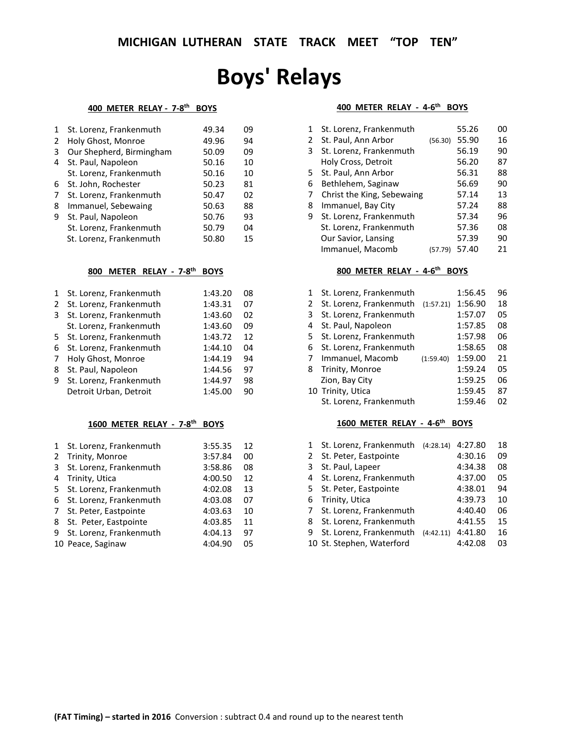## **Boys' Relays**

## **400 METER RELAY - 7-8th BOYS**

| $\mathbf{1}$ | St. Lorenz, Frankenmuth  | 49.34 | 09 |
|--------------|--------------------------|-------|----|
| 2            | Holy Ghost, Monroe       | 49.96 | 94 |
| 3            | Our Shepherd, Birmingham | 50.09 | 09 |
| 4            | St. Paul, Napoleon       | 50.16 | 10 |
|              | St. Lorenz, Frankenmuth  | 50.16 | 10 |
|              | 6 St. John, Rochester    | 50.23 | 81 |
| 7            | St. Lorenz, Frankenmuth  | 50.47 | 02 |
| 8            | Immanuel, Sebewaing      | 50.63 | 88 |
| 9            | St. Paul, Napoleon       | 50.76 | 93 |
|              | St. Lorenz, Frankenmuth  | 50.79 | 04 |
|              | St. Lorenz, Frankenmuth  | 50.80 | 15 |

## **800 METER RELAY - 7-8th BOYS**

| $\mathbf{1}$ | St. Lorenz, Frankenmuth   | 1:43.20 | 08 |
|--------------|---------------------------|---------|----|
| 2            | St. Lorenz, Frankenmuth   | 1:43.31 | 07 |
| 3            | St. Lorenz, Frankenmuth   | 1:43.60 | 02 |
|              | St. Lorenz, Frankenmuth   | 1:43.60 | 09 |
|              | 5 St. Lorenz, Frankenmuth | 1:43.72 | 12 |
| 6            | St. Lorenz, Frankenmuth   | 1:44.10 | 04 |
| 7            | Holy Ghost, Monroe        | 1:44.19 | 94 |
| 8            | St. Paul, Napoleon        | 1:44.56 | 97 |
| 9            | St. Lorenz, Frankenmuth   | 1:44.97 | 98 |
|              | Detroit Urban, Detroit    | 1:45.00 | 90 |

## **1600 METER RELAY - 7-8th BOYS**

|   | 1 St. Lorenz, Frankenmuth | 3:55.35 | 12 |
|---|---------------------------|---------|----|
| 2 | Trinity, Monroe           | 3:57.84 | 00 |
| 3 | St. Lorenz, Frankenmuth   | 3:58.86 | 08 |
| 4 | Trinity, Utica            | 4:00.50 | 12 |
| 5 | St. Lorenz, Frankenmuth   | 4:02.08 | 13 |
|   | 6 St. Lorenz, Frankenmuth | 4:03.08 | 07 |
| 7 | St. Peter, Eastpointe     | 4:03.63 | 10 |
| 8 | St. Peter, Eastpointe     | 4:03.85 | 11 |
| 9 | St. Lorenz, Frankenmuth   | 4:04.13 | 97 |
|   | 10 Peace, Saginaw         | 4:04.90 | 05 |

## **400 METER RELAY - 4-6th BOYS**

| 1 | St. Lorenz, Frankenmuth    |         | 55.26 | 00 |
|---|----------------------------|---------|-------|----|
| 2 | St. Paul, Ann Arbor        | (56.30) | 55.90 | 16 |
| 3 | St. Lorenz, Frankenmuth    |         | 56.19 | 90 |
|   | Holy Cross, Detroit        |         | 56.20 | 87 |
| 5 | St. Paul, Ann Arbor        |         | 56.31 | 88 |
| 6 | Bethlehem, Saginaw         |         | 56.69 | 90 |
| 7 | Christ the King, Sebewaing |         | 57.14 | 13 |
| 8 | Immanuel, Bay City         |         | 57.24 | 88 |
| 9 | St. Lorenz, Frankenmuth    |         | 57.34 | 96 |
|   | St. Lorenz, Frankenmuth    |         | 57.36 | 08 |
|   | Our Savior, Lansing        |         | 57.39 | 90 |
|   | Immanuel, Macomb           | (57.79) | 57.40 | 21 |

## **800 METER RELAY - 4-6th BOYS**

| $\mathbf{1}$ | St. Lorenz, Frankenmuth           |           | 1:56.45 | 96 |
|--------------|-----------------------------------|-----------|---------|----|
| 2            | St. Lorenz, Frankenmuth (1:57.21) |           | 1:56.90 | 18 |
| 3            | St. Lorenz, Frankenmuth           |           | 1:57.07 | 05 |
| 4            | St. Paul, Napoleon                |           | 1:57.85 | 08 |
| 5.           | St. Lorenz, Frankenmuth           |           | 1:57.98 | 06 |
| 6            | St. Lorenz, Frankenmuth           |           | 1:58.65 | 08 |
| 7            | Immanuel, Macomb                  | (1:59.40) | 1:59.00 | 21 |
| 8            | Trinity, Monroe                   |           | 1:59.24 | 05 |
|              | Zion, Bay City                    |           | 1:59.25 | 06 |
|              | 10 Trinity, Utica                 |           | 1:59.45 | 87 |
|              | St. Lorenz, Frankenmuth           |           | 1:59.46 | 02 |

## **1600 METER RELAY - 4-6th BOYS**

|   | St. Lorenz, Frankenmuth   | (4:28.14) | 4:27.80 | 18 |
|---|---------------------------|-----------|---------|----|
| 2 | St. Peter, Eastpointe     |           | 4:30.16 | 09 |
| 3 | St. Paul, Lapeer          |           | 4:34.38 | 08 |
| 4 | St. Lorenz, Frankenmuth   |           | 4:37.00 | 05 |
|   | 5 St. Peter, Eastpointe   |           | 4:38.01 | 94 |
| 6 | Trinity, Utica            |           | 4:39.73 | 10 |
| 7 | St. Lorenz, Frankenmuth   |           | 4:40.40 | 06 |
| 8 | St. Lorenz, Frankenmuth   |           | 4:41.55 | 15 |
| 9 | St. Lorenz, Frankenmuth   | (4:42.11) | 4:41.80 | 16 |
|   | 10 St. Stephen, Waterford |           | 4:42.08 | 03 |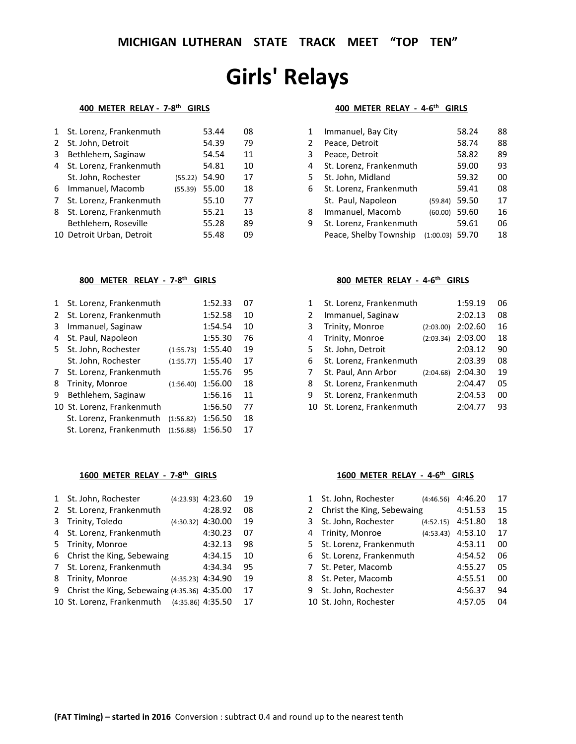## **Girls' Relays**

## **400 METER RELAY - 7-8th GIRLS**

| 1 | St. Lorenz, Frankenmuth   |         | 53.44 | 08 |
|---|---------------------------|---------|-------|----|
| 2 | St. John, Detroit         |         | 54.39 | 79 |
| 3 | Bethlehem, Saginaw        |         | 54.54 | 11 |
| 4 | St. Lorenz, Frankenmuth   |         | 54.81 | 10 |
|   | St. John, Rochester       | (55.22) | 54.90 | 17 |
| 6 | Immanuel, Macomb          | (55.39) | 55.00 | 18 |
| 7 | St. Lorenz, Frankenmuth   |         | 55.10 | 77 |
| 8 | St. Lorenz, Frankenmuth   |         | 55.21 | 13 |
|   | Bethlehem, Roseville      |         | 55.28 | 89 |
|   | 10 Detroit Urban, Detroit |         | 55.48 | 09 |

## **800 METER RELAY - 7-8th GIRLS**

| 1  | St. Lorenz, Frankenmuth    |           | 1:52.33 | 07 |
|----|----------------------------|-----------|---------|----|
| 2  | St. Lorenz, Frankenmuth    |           | 1:52.58 | 10 |
| 3  | Immanuel, Saginaw          |           | 1:54.54 | 10 |
| 4  | St. Paul, Napoleon         |           | 1:55.30 | 76 |
| 5. | St. John, Rochester        | (1:55.73) | 1:55.40 | 19 |
|    | St. John, Rochester        | (1:55.77) | 1:55.40 | 17 |
| 7  | St. Lorenz, Frankenmuth    |           | 1:55.76 | 95 |
| 8  | Trinity, Monroe            | (1:56.40) | 1:56.00 | 18 |
| 9  | Bethlehem, Saginaw         |           | 1:56.16 | 11 |
|    | 10 St. Lorenz, Frankenmuth |           | 1:56.50 | 77 |
|    | St. Lorenz, Frankenmuth    | (1:56.82) | 1:56.50 | 18 |
|    | St. Lorenz, Frankenmuth    | (1:56.88) | 1:56.50 | 17 |

## **1600 METER RELAY - 7-8th GIRLS**

| 1            | St. John, Rochester                          | (4:23.93) 4:23.60   | 19 |
|--------------|----------------------------------------------|---------------------|----|
| $\mathbf{2}$ | St. Lorenz, Frankenmuth                      | 4:28.92             | 08 |
| 3            | Trinity, Toledo                              | $(4:30.32)$ 4:30.00 | 19 |
| 4            | St. Lorenz, Frankenmuth                      | 4:30.23             | 07 |
| 5.           | Trinity, Monroe                              | 4:32.13             | 98 |
| 6            | Christ the King, Sebewaing                   | 4:34.15             | 10 |
|              | 7 St. Lorenz, Frankenmuth                    | 4:34.34             | 95 |
| 8            | Trinity, Monroe                              | $(4:35.23)$ 4:34.90 | 19 |
| 9            | Christ the King, Sebewaing (4:35.36) 4:35.00 |                     | 17 |
|              | 10 St. Lorenz, Frankenmuth (4:35.86) 4:35.50 |                     | 17 |

## **400 METER RELAY - 4-6th GIRLS**

| 1 | Immanuel, Bay City      |           | 58.24 | 88 |
|---|-------------------------|-----------|-------|----|
| 2 | Peace, Detroit          |           | 58.74 | 88 |
| 3 | Peace, Detroit          |           | 58.82 | 89 |
| 4 | St. Lorenz, Frankenmuth |           | 59.00 | 93 |
| 5 | St. John, Midland       |           | 59.32 | 00 |
| 6 | St. Lorenz, Frankenmuth |           | 59.41 | 08 |
|   | St. Paul, Napoleon      | (59.84)   | 59.50 | 17 |
| 8 | Immanuel, Macomb        | (60.00)   | 59.60 | 16 |
| 9 | St. Lorenz, Frankenmuth |           | 59.61 | 06 |
|   | Peace, Shelby Township  | (1:00.03) | 59.70 | 18 |

## **800 METER RELAY - 4-6th GIRLS**

| 1  | St. Lorenz, Frankenmuth |           | 1:59.19 | 06 |
|----|-------------------------|-----------|---------|----|
| 2  | Immanuel, Saginaw       |           | 2:02.13 | 08 |
| 3  | Trinity, Monroe         | (2:03.00) | 2:02.60 | 16 |
| 4  | Trinity, Monroe         | (2:03.34) | 2:03.00 | 18 |
| 5  | St. John, Detroit       |           | 2:03.12 | 90 |
| 6  | St. Lorenz, Frankenmuth |           | 2:03.39 | 08 |
| 7  | St. Paul, Ann Arbor     | (2:04.68) | 2:04.30 | 19 |
| 8  | St. Lorenz, Frankenmuth |           | 2:04.47 | 05 |
| 9  | St. Lorenz, Frankenmuth |           | 2:04.53 | 00 |
| 10 | St. Lorenz, Frankenmuth |           | 2:04.77 | 93 |

## **1600 METER RELAY - 4-6th GIRLS**

| $\mathbf{1}$ | St. John, Rochester        | (4:46.56) | 4:46.20 | 17 |
|--------------|----------------------------|-----------|---------|----|
| 2            | Christ the King, Sebewaing |           | 4:51.53 | 15 |
| 3            | St. John, Rochester        | (4:52.15) | 4:51.80 | 18 |
| 4            | Trinity, Monroe            | (4:53.43) | 4:53.10 | 17 |
|              | 5 St. Lorenz, Frankenmuth  |           | 4:53.11 | 00 |
|              | 6 St. Lorenz, Frankenmuth  |           | 4:54.52 | 06 |
| $7^{\circ}$  | St. Peter, Macomb          |           | 4:55.27 | 05 |
| 8            | St. Peter, Macomb          |           | 4:55.51 | 00 |
| 9            | St. John, Rochester        |           | 4:56.37 | 94 |
|              | 10 St. John, Rochester     |           | 4:57.05 | 04 |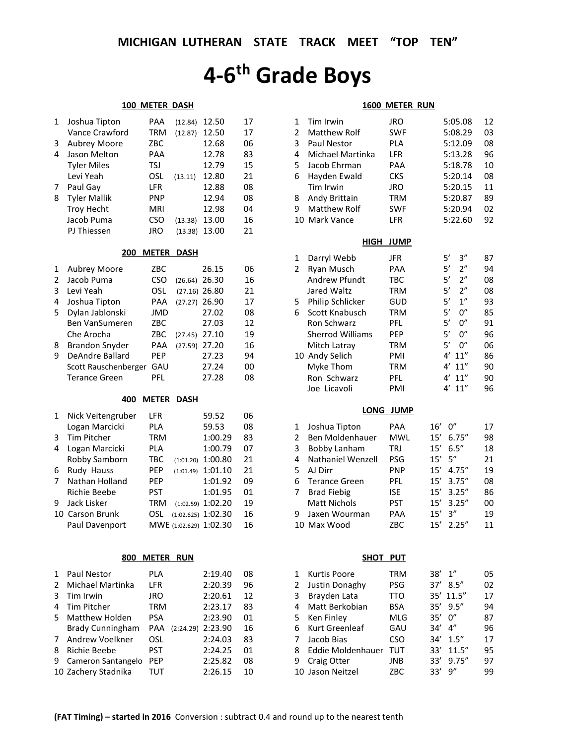# **4-6th Grade Boys**

### **100 METER DASH**

| 1 | Joshua Tipton       | PAA        | (12.84) | 12.50 | 17 |
|---|---------------------|------------|---------|-------|----|
|   | Vance Crawford      | <b>TRM</b> | (12.87) | 12.50 | 17 |
| 3 | <b>Aubrey Moore</b> | ZBC        |         | 12.68 | 06 |
| 4 | Jason Melton        | <b>PAA</b> |         | 12.78 | 83 |
|   | <b>Tyler Miles</b>  | TSJ        |         | 12.79 | 15 |
|   | Levi Yeah           | OSL        | (13.11) | 12.80 | 21 |
| 7 | Paul Gay            | <b>LFR</b> |         | 12.88 | 08 |
| 8 | <b>Tyler Mallik</b> | <b>PNP</b> |         | 12.94 | 08 |
|   | <b>Troy Hecht</b>   | <b>MRI</b> |         | 12.98 | 04 |
|   | Jacob Puma          | CSO        | (13.38) | 13.00 | 16 |
|   | PJ Thiessen         | JRO        | (13.38) | 13.00 | 21 |
|   |                     |            |         |       |    |

### **200 METER DASH**

| 1 | <b>Aubrey Moore</b>   | ZBC        |                 | 26.15 | 06 |
|---|-----------------------|------------|-----------------|-------|----|
| 2 | Jacob Puma            | CSO        | $(26.64)$ 26.30 |       | 16 |
| 3 | Levi Yeah             | OSL        | $(27.16)$ 26.80 |       | 21 |
| 4 | Joshua Tipton         | PAA        | $(27.27)$ 26.90 |       | 17 |
| 5 | Dylan Jablonski       | JMD        |                 | 27.02 | 08 |
|   | <b>Ben VanSumeren</b> | ZBC        |                 | 27.03 | 12 |
|   | Che Arocha            | ZBC        | $(27.45)$ 27.10 |       | 19 |
| 8 | <b>Brandon Snyder</b> | PAA        | $(27.59)$ 27.20 |       | 16 |
| 9 | DeAndre Ballard       | <b>PEP</b> |                 | 27.23 | 94 |
|   | Scott Rauschenberger  | GAU        |                 | 27.24 | ΩO |
|   | <b>Terance Green</b>  | PFI        |                 | 27.28 | 08 |

#### **400 METER DASH**

| 1 | Nick Veitengruber | LFR        |           | 59.52                  | 06 |
|---|-------------------|------------|-----------|------------------------|----|
|   | Logan Marcicki    | PLA        |           | 59.53                  | 08 |
| 3 | Tim Pitcher       | TRM        |           | 1:00.29                | 83 |
| 4 | Logan Marcicki    | PLA        |           | 1:00.79                | 07 |
|   | Robby Samborn     | <b>TBC</b> | (1:01.20) | 1:00.80                | 21 |
| 6 | Rudy Hauss        | <b>PEP</b> | (1:01.49) | 1:01.10                | 21 |
| 7 | Nathan Holland    | <b>PEP</b> |           | 1:01.92                | 09 |
|   | Richie Beebe      | <b>PST</b> |           | 1:01.95                | 01 |
| 9 | Jack Lisker       | TRM        |           | $(1:02.59)$ 1:02.20    | 19 |
|   | 10 Carson Brunk   | OSL        |           | $(1:02.625)$ 1:02.30   | 16 |
|   | Paul Davenport    |            |           | MWE (1:02.629) 1:02.30 | 16 |

## **800 METER RUN**

| 1             | Paul Nestor             | PLA        |           | 2:19.40 | 08 |
|---------------|-------------------------|------------|-----------|---------|----|
| $\mathcal{P}$ | <b>Michael Martinka</b> | LFR        |           | 2:20.39 | 96 |
| 3             | Tim Irwin               | <b>JRO</b> |           | 2:20.61 | 12 |
| 4             | Tim Pitcher             | TRM        |           | 2:23.17 | 83 |
| 5.            | Matthew Holden          | PSA        |           | 2:23.90 | 01 |
|               | <b>Brady Cunningham</b> | PAA        | (2:24.29) | 2:23.90 | 16 |
| 7             | Andrew Voelkner         | OSL        |           | 2:24.03 | 83 |
| 8             | Richie Beebe            | <b>PST</b> |           | 2:24.25 | 01 |
| 9             | Cameron Santangelo      | <b>PEP</b> |           | 2:25.82 | 08 |
|               | 10 Zachery Stadnika     | TUT        |           | 2:26.15 | 10 |

#### **1600 METER RUN**

| 1<br>$\overline{\mathbf{c}}$<br>3<br>4<br>5<br>6<br>8<br>9 | Tim Irwin<br>Matthew Rolf<br>Paul Nestor<br>Michael Martinka<br>Jacob Ehrman<br>Hayden Ewald<br>Tim Irwin<br>Andy Brittain<br><b>Matthew Rolf</b><br>10 Mark Vance                                  | JRO<br><b>SWF</b><br>PLA<br>LFR<br>PAA<br><b>CKS</b><br>JRO<br><b>TRM</b><br><b>SWF</b><br>LFR        | 5:05.08<br>5:08.29<br>5:12.09<br>5:13.28<br>5:18.78<br>5:20.14<br>5:20.15<br>5:20.87<br>5:20.94<br>5:22.60                                                  | 12<br>03<br>08<br>96<br>10<br>08<br>11<br>89<br>02<br>92 |
|------------------------------------------------------------|-----------------------------------------------------------------------------------------------------------------------------------------------------------------------------------------------------|-------------------------------------------------------------------------------------------------------|-------------------------------------------------------------------------------------------------------------------------------------------------------------|----------------------------------------------------------|
|                                                            | HIGH                                                                                                                                                                                                | <b>JUMP</b>                                                                                           |                                                                                                                                                             |                                                          |
| 1<br>2<br>5                                                | Darryl Webb<br>Ryan Musch<br><b>Andrew Pfundt</b><br>Jared Waltz<br>Philip Schlicker                                                                                                                | JFR<br>PAA<br><b>TBC</b><br><b>TRM</b><br>GUD                                                         | 5′<br>3''<br>5'<br>2"<br>5'<br>2"<br>5'<br>2"<br>5'<br>1"                                                                                                   | 87<br>94<br>08<br>08<br>93                               |
| 6                                                          | Scott Knabusch<br>Ron Schwarz<br><b>Sherrod Williams</b><br>Mitch Latray                                                                                                                            | <b>TRM</b><br>PFL<br>PEP<br><b>TRM</b>                                                                | 5'<br>0''<br>5'<br>0"<br>5'<br>0''<br>5'<br>0''                                                                                                             | 85<br>91<br>96<br>06                                     |
|                                                            | 10 Andy Selich<br>Myke Thom<br>Ron Schwarz<br>Joe Licavoli                                                                                                                                          | PMI<br><b>TRM</b><br>PFL<br>PMI                                                                       | 4'<br>11''<br>4'<br>11''<br>4'<br>11''<br>4'<br>11''                                                                                                        | 86<br>90<br>90<br>96                                     |
|                                                            | <b>LONG</b>                                                                                                                                                                                         | <b>JUMP</b>                                                                                           |                                                                                                                                                             |                                                          |
| 1<br>2<br>3<br>4<br>5<br>6<br>7<br>9                       | Joshua Tipton<br><b>Ben Moldenhauer</b><br><b>Bobby Lanham</b><br>Nathaniel Wenzell<br>AJ Dirr<br><b>Terance Green</b><br><b>Brad Fiebig</b><br><b>Matt Nichols</b><br>Jaxen Wourman<br>10 Max Wood | PAA<br><b>MWL</b><br><b>TRJ</b><br>PSG<br><b>PNP</b><br>PFL<br><b>ISE</b><br><b>PST</b><br>PAA<br>ZBC | 0"<br>16′<br>15'<br>6.75''<br>6.5''<br>15'<br>15'<br>5''<br>15'<br>4.75''<br>15'<br>3.75''<br>15'<br>3.25''<br>15'<br>3.25''<br>3''<br>15'<br>15'<br>2.25'' | 17<br>98<br>18<br>21<br>19<br>08<br>86<br>00<br>19<br>11 |
|                                                            | SHOT PUT                                                                                                                                                                                            |                                                                                                       |                                                                                                                                                             |                                                          |
| 1<br>$\overline{\mathbf{c}}$<br>3<br>4<br>5                | Kurtis Poore<br>Justin Donaghy<br>Brayden Lata<br>Matt Berkobian<br>Ken Finley                                                                                                                      | <b>TRM</b><br>PSG<br><b>TTO</b><br><b>BSA</b><br>MLG                                                  | $1^{\prime\prime}$<br>38′<br>37'<br>8.5''<br>35′<br>11.5''<br>35'<br>9.5''<br>0''<br>35'                                                                    | 05<br>02<br>17<br>94<br>87                               |